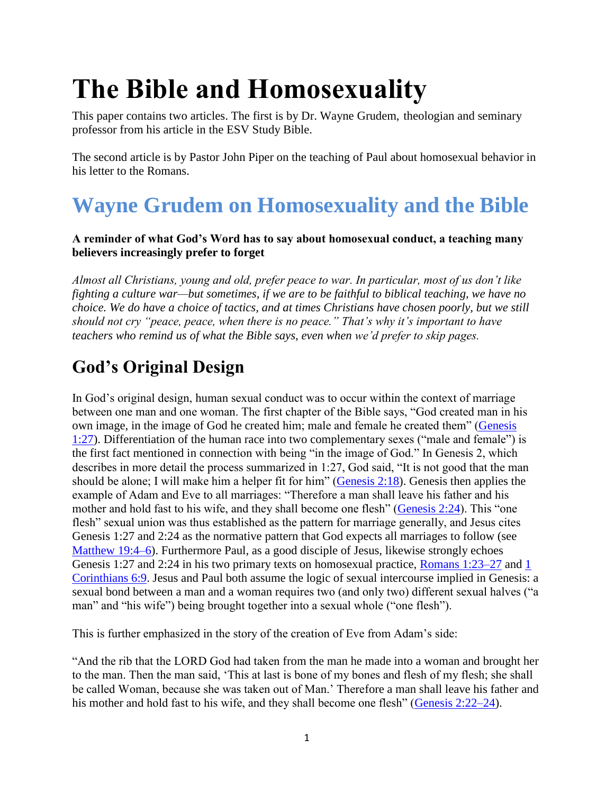# **The Bible and Homosexuality**

This paper contains two articles. The first is by Dr. Wayne Grudem, theologian and seminary professor from his article in the ESV Study Bible.

The second article is by Pastor John Piper on the teaching of Paul about homosexual behavior in his letter to the Romans.

# **Wayne Grudem on Homosexuality and the Bible**

#### **A reminder of what God's Word has to say about homosexual conduct, a teaching many believers increasingly prefer to forget**

*Almost all Christians, young and old, prefer peace to war. In particular, most of us don't like fighting a culture war—but sometimes, if we are to be faithful to biblical teaching, we have no choice. We do have a choice of tactics, and at times Christians have chosen poorly, but we still should not cry "peace, peace, when there is no peace." That's why it's important to have teachers who remind us of what the Bible says, even when we'd prefer to skip pages.*

# **God's Original Design**

In God's original design, human sexual conduct was to occur within the context of marriage between one man and one woman. The first chapter of the Bible says, "God created man in his own image, in the image of God he created him; male and female he created them" [\(Genesis](http://www.esvbible.org/Genesis+1%3A27/)  [1:27\)](http://www.esvbible.org/Genesis+1%3A27/). Differentiation of the human race into two complementary sexes ("male and female") is the first fact mentioned in connection with being "in the image of God." In Genesis 2, which describes in more detail the process summarized in 1:27, God said, "It is not good that the man should be alone; I will make him a helper fit for him" [\(Genesis 2:18\)](http://www.esvbible.org/Genesis+2%3A18/). Genesis then applies the example of Adam and Eve to all marriages: "Therefore a man shall leave his father and his mother and hold fast to his wife, and they shall become one flesh" [\(Genesis 2:24\)](http://www.esvbible.org/Genesis+2%3A24/). This "one flesh" sexual union was thus established as the pattern for marriage generally, and Jesus cites Genesis 1:27 and 2:24 as the normative pattern that God expects all marriages to follow (see [Matthew 19:4–6\)](http://www.esvbible.org/Matthew+19%3A4-6/). Furthermore Paul, as a good disciple of Jesus, likewise strongly echoes Genesis 1:27 and 2:24 in his two primary texts on homosexual practice, [Romans 1:23–27](http://www.esvbible.org/Romans+1%3A23-27/) and [1](http://www.esvbible.org/1+Corinthians+6%3A9/)  [Corinthians 6:9.](http://www.esvbible.org/1+Corinthians+6%3A9/) Jesus and Paul both assume the logic of sexual intercourse implied in Genesis: a sexual bond between a man and a woman requires two (and only two) different sexual halves ("a man" and "his wife") being brought together into a sexual whole ("one flesh").

This is further emphasized in the story of the creation of Eve from Adam's side:

"And the rib that the LORD God had taken from the man he made into a woman and brought her to the man. Then the man said, 'This at last is bone of my bones and flesh of my flesh; she shall be called Woman, because she was taken out of Man.' Therefore a man shall leave his father and his mother and hold fast to his wife, and they shall become one flesh" [\(Genesis 2:22–24\)](http://www.esvbible.org/Genesis+2%3A22-24/).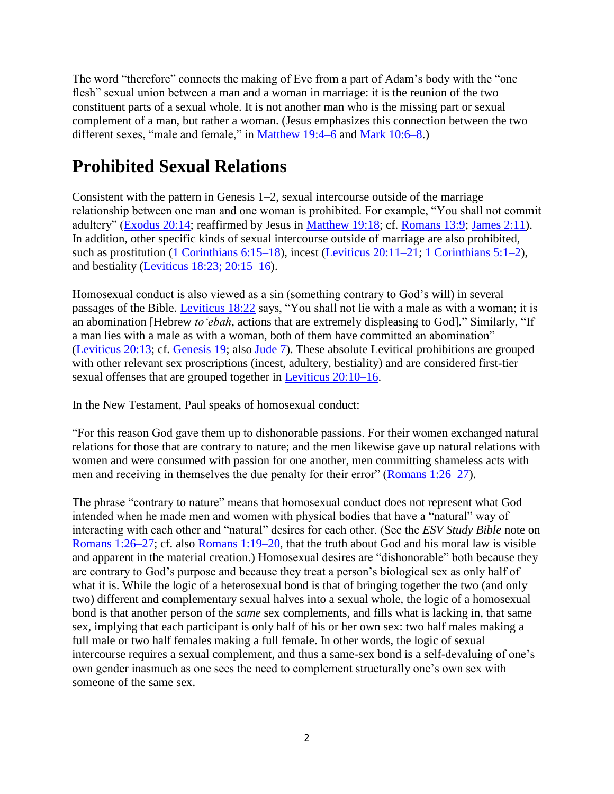The word "therefore" connects the making of Eve from a part of Adam's body with the "one flesh" sexual union between a man and a woman in marriage: it is the reunion of the two constituent parts of a sexual whole. It is not another man who is the missing part or sexual complement of a man, but rather a woman. (Jesus emphasizes this connection between the two different sexes, "male and female," in [Matthew 19:4–6](http://www.esvbible.org/Matthew+19%3A4-6/) and [Mark 10:6–8.](http://www.esvbible.org/Mark+10%3A6-8/))

# **Prohibited Sexual Relations**

Consistent with the pattern in Genesis 1–2, sexual intercourse outside of the marriage relationship between one man and one woman is prohibited. For example, "You shall not commit adultery" [\(Exodus 20:14;](http://www.esvbible.org/Exodus+20%3A14/) reaffirmed by Jesus in [Matthew 19:18;](http://www.esvbible.org/Matthew+19%3A18/) cf. [Romans 13:9;](http://www.esvbible.org/Romans+13%3A9/) [James 2:11\)](http://www.esvbible.org/James+2%3A11/). In addition, other specific kinds of sexual intercourse outside of marriage are also prohibited, such as prostitution [\(1 Corinthians 6:15–18\)](http://www.esvbible.org/1+Corinthians+6%3A15-18/), incest [\(Leviticus 20:11–21;](http://www.esvbible.org/Leviticus+20%3A11-21/) [1 Corinthians 5:1–2\)](http://www.esvbible.org/1+Corinthians+5%3A1-2/), and bestiality [\(Leviticus 18:23; 20:15–16\)](http://www.esvbible.org/Leviticus+18%3A23%3BLeviticus+20%3A15-16/).

Homosexual conduct is also viewed as a sin (something contrary to God's will) in several passages of the Bible. [Leviticus 18:22](http://www.esvbible.org/Leviticus+18%3A22/) says, "You shall not lie with a male as with a woman; it is an abomination [Hebrew *to'ebah*, actions that are extremely displeasing to God]." Similarly, "If a man lies with a male as with a woman, both of them have committed an abomination" [\(Leviticus 20:13;](http://www.esvbible.org/Leviticus+20%3A13/) cf. [Genesis 19;](http://www.esvbible.org/Genesis+19/) also [Jude 7\)](http://www.esvbible.org/Jude+1%3A7/). These absolute Levitical prohibitions are grouped with other relevant sex proscriptions (incest, adultery, bestiality) and are considered first-tier sexual offenses that are grouped together in [Leviticus 20:10–16.](http://www.esvbible.org/Leviticus+20%3A10-16/)

In the New Testament, Paul speaks of homosexual conduct:

"For this reason God gave them up to dishonorable passions. For their women exchanged natural relations for those that are contrary to nature; and the men likewise gave up natural relations with women and were consumed with passion for one another, men committing shameless acts with men and receiving in themselves the due penalty for their error" [\(Romans 1:26–27\)](http://www.esvbible.org/Romans+1%3A26-27/).

The phrase "contrary to nature" means that homosexual conduct does not represent what God intended when he made men and women with physical bodies that have a "natural" way of interacting with each other and "natural" desires for each other. (See the *ESV Study Bible* note on [Romans 1:26–27;](http://www.esvbible.org/Romans+1%3A26-27/) cf. also [Romans 1:19–20,](http://www.esvbible.org/Romans+1%3A19-20/) that the truth about God and his moral law is visible and apparent in the material creation.) Homosexual desires are "dishonorable" both because they are contrary to God's purpose and because they treat a person's biological sex as only half of what it is. While the logic of a heterosexual bond is that of bringing together the two (and only two) different and complementary sexual halves into a sexual whole, the logic of a homosexual bond is that another person of the *same* sex complements, and fills what is lacking in, that same sex, implying that each participant is only half of his or her own sex: two half males making a full male or two half females making a full female. In other words, the logic of sexual intercourse requires a sexual complement, and thus a same-sex bond is a self-devaluing of one's own gender inasmuch as one sees the need to complement structurally one's own sex with someone of the same sex.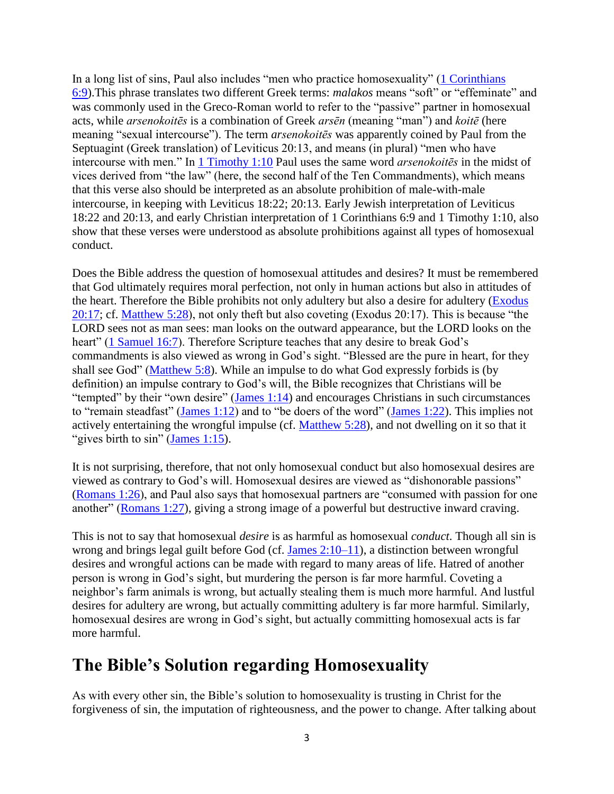In a long list of sins, Paul also includes "men who practice homosexuality" [\(1 Corinthians](http://www.esvbible.org/1+Corinthians+6%3A9/)  [6:9\)](http://www.esvbible.org/1+Corinthians+6%3A9/).This phrase translates two different Greek terms: *malakos* means "soft" or "effeminate" and was commonly used in the Greco-Roman world to refer to the "passive" partner in homosexual acts, while *arsenokoitēs* is a combination of Greek *arsēn* (meaning "man") and *koitē* (here meaning "sexual intercourse"). The term *arsenokoitēs* was apparently coined by Paul from the Septuagint (Greek translation) of Leviticus 20:13, and means (in plural) "men who have intercourse with men." In [1 Timothy 1:10](http://www.esvbible.org/1+Timothy+1%3A10/) Paul uses the same word *arsenokoitēs* in the midst of vices derived from "the law" (here, the second half of the Ten Commandments), which means that this verse also should be interpreted as an absolute prohibition of male-with-male intercourse, in keeping with Leviticus 18:22; 20:13. Early Jewish interpretation of Leviticus 18:22 and 20:13, and early Christian interpretation of 1 Corinthians 6:9 and 1 Timothy 1:10, also show that these verses were understood as absolute prohibitions against all types of homosexual conduct.

Does the Bible address the question of homosexual attitudes and desires? It must be remembered that God ultimately requires moral perfection, not only in human actions but also in attitudes of the heart. Therefore the Bible prohibits not only adultery but also a desire for adultery [\(Exodus](http://www.esvbible.org/Exodus+20%3A17/)  [20:17;](http://www.esvbible.org/Exodus+20%3A17/) cf. [Matthew 5:28\)](http://www.esvbible.org/Matthew+5%3A28/), not only theft but also coveting (Exodus 20:17). This is because "the LORD sees not as man sees: man looks on the outward appearance, but the LORD looks on the heart" [\(1 Samuel 16:7\)](http://www.esvbible.org/1+Samuel+16%3A7/). Therefore Scripture teaches that any desire to break God's commandments is also viewed as wrong in God's sight. "Blessed are the pure in heart, for they shall see God" [\(Matthew 5:8\)](http://www.esvbible.org/Matthew+5%3A8/). While an impulse to do what God expressly forbids is (by definition) an impulse contrary to God's will, the Bible recognizes that Christians will be "tempted" by their "own desire" [\(James 1:14\)](http://www.esvbible.org/James+1%3A14/) and encourages Christians in such circumstances to "remain steadfast" [\(James 1:12\)](http://www.esvbible.org/James+1%3A12/) and to "be doers of the word" [\(James 1:22\)](http://www.esvbible.org/James+1%3A22/). This implies not actively entertaining the wrongful impulse (cf. [Matthew 5:28\)](http://www.esvbible.org/Matthew+5%3A28/), and not dwelling on it so that it "gives birth to  $\sin$ " [\(James 1:15\)](http://www.esvbible.org/James+1%3A15/).

It is not surprising, therefore, that not only homosexual conduct but also homosexual desires are viewed as contrary to God's will. Homosexual desires are viewed as "dishonorable passions" [\(Romans 1:26\)](http://www.esvbible.org/Romans+1%3A26/), and Paul also says that homosexual partners are "consumed with passion for one another" [\(Romans 1:27\)](http://www.esvbible.org/Romans+1%3A27/), giving a strong image of a powerful but destructive inward craving.

This is not to say that homosexual *desire* is as harmful as homosexual *conduct*. Though all sin is wrong and brings legal guilt before God (cf. [James 2:10–11\)](http://www.esvbible.org/James+2%3A10-11/), a distinction between wrongful desires and wrongful actions can be made with regard to many areas of life. Hatred of another person is wrong in God's sight, but murdering the person is far more harmful. Coveting a neighbor's farm animals is wrong, but actually stealing them is much more harmful. And lustful desires for adultery are wrong, but actually committing adultery is far more harmful. Similarly, homosexual desires are wrong in God's sight, but actually committing homosexual acts is far more harmful.

#### **The Bible's Solution regarding Homosexuality**

As with every other sin, the Bible's solution to homosexuality is trusting in Christ for the forgiveness of sin, the imputation of righteousness, and the power to change. After talking about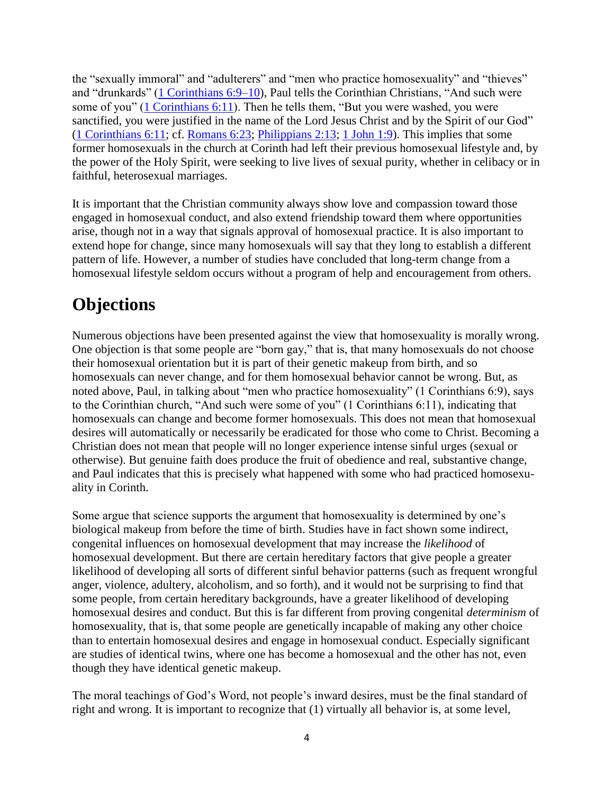the "sexually immoral" and "adulterers" and "men who practice homosexuality" and "thieves" and "drunkards" [\(1 Corinthians 6:9–10\)](http://www.esvbible.org/1+Corinthians+6%3A9-10/), Paul tells the Corinthian Christians, "And such were some of you" [\(1 Corinthians 6:11\)](http://www.esvbible.org/1+Corinthians+6%3A11/). Then he tells them, "But you were washed, you were sanctified, you were justified in the name of the Lord Jesus Christ and by the Spirit of our God" [\(1 Corinthians 6:11;](http://www.esvbible.org/1+Corinthians+6%3A11/) cf. [Romans 6:23;](http://www.esvbible.org/Romans+6%3A23/) [Philippians 2:13;](http://www.esvbible.org/Philippians+2%3A13/) [1 John 1:9\)](http://www.esvbible.org/1+John+1%3A9/). This implies that some former homosexuals in the church at Corinth had left their previous homosexual lifestyle and, by the power of the Holy Spirit, were seeking to live lives of sexual purity, whether in celibacy or in faithful, heterosexual marriages.

It is important that the Christian community always show love and compassion toward those engaged in homosexual conduct, and also extend friendship toward them where opportunities arise, though not in a way that signals approval of homosexual practice. It is also important to extend hope for change, since many homosexuals will say that they long to establish a different pattern of life. However, a number of studies have concluded that long-term change from a homosexual lifestyle seldom occurs without a program of help and encouragement from others.

## **Objections**

Numerous objections have been presented against the view that homosexuality is morally wrong. One objection is that some people are "born gay," that is, that many homosexuals do not choose their homosexual orientation but it is part of their genetic makeup from birth, and so homosexuals can never change, and for them homosexual behavior cannot be wrong. But, as noted above, Paul, in talking about "men who practice homosexuality" (1 Corinthians 6:9), says to the Corinthian church, "And such were some of you" (1 Corinthians 6:11), indicating that homosexuals can change and become former homosexuals. This does not mean that homosexual desires will automatically or necessarily be eradicated for those who come to Christ. Becoming a Christian does not mean that people will no longer experience intense sinful urges (sexual or otherwise). But genuine faith does produce the fruit of obedience and real, substantive change, and Paul indicates that this is precisely what happened with some who had practiced homosexuality in Corinth.

Some argue that science supports the argument that homosexuality is determined by one's biological makeup from before the time of birth. Studies have in fact shown some indirect, congenital influences on homosexual development that may increase the *likelihood* of homosexual development. But there are certain hereditary factors that give people a greater likelihood of developing all sorts of different sinful behavior patterns (such as frequent wrongful anger, violence, adultery, alcoholism, and so forth), and it would not be surprising to find that some people, from certain hereditary backgrounds, have a greater likelihood of developing homosexual desires and conduct. But this is far different from proving congenital *determinism* of homosexuality, that is, that some people are genetically incapable of making any other choice than to entertain homosexual desires and engage in homosexual conduct. Especially significant are studies of identical twins, where one has become a homosexual and the other has not, even though they have identical genetic makeup.

The moral teachings of God's Word, not people's inward desires, must be the final standard of right and wrong. It is important to recognize that (1) virtually all behavior is, at some level,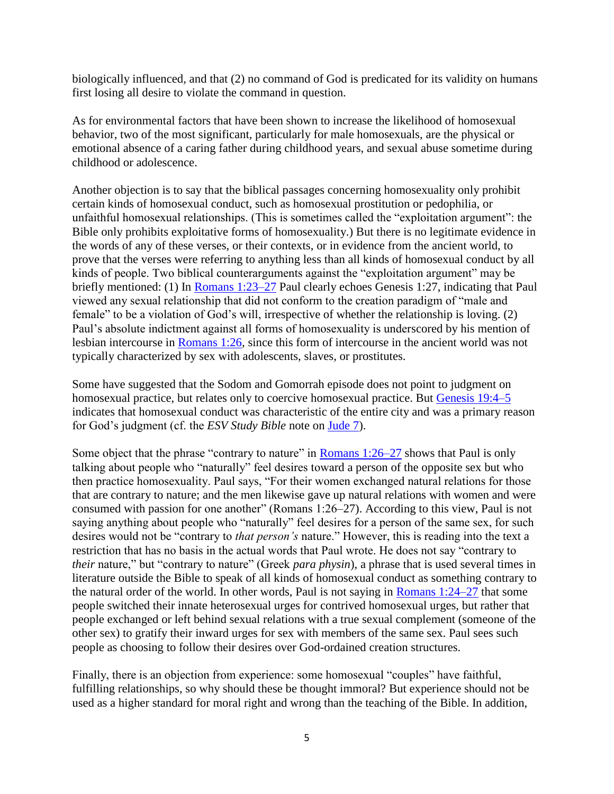biologically influenced, and that (2) no command of God is predicated for its validity on humans first losing all desire to violate the command in question.

As for environmental factors that have been shown to increase the likelihood of homosexual behavior, two of the most significant, particularly for male homosexuals, are the physical or emotional absence of a caring father during childhood years, and sexual abuse sometime during childhood or adolescence.

Another objection is to say that the biblical passages concerning homosexuality only prohibit certain kinds of homosexual conduct, such as homosexual prostitution or pedophilia, or unfaithful homosexual relationships. (This is sometimes called the "exploitation argument": the Bible only prohibits exploitative forms of homosexuality.) But there is no legitimate evidence in the words of any of these verses, or their contexts, or in evidence from the ancient world, to prove that the verses were referring to anything less than all kinds of homosexual conduct by all kinds of people. Two biblical counterarguments against the "exploitation argument" may be briefly mentioned: (1) In [Romans 1:23–27](http://www.esvbible.org/Romans+1%3A23-27/) Paul clearly echoes Genesis 1:27, indicating that Paul viewed any sexual relationship that did not conform to the creation paradigm of "male and female" to be a violation of God's will, irrespective of whether the relationship is loving. (2) Paul's absolute indictment against all forms of homosexuality is underscored by his mention of lesbian intercourse in [Romans 1:26,](http://www.esvbible.org/Romans+1%3A26/) since this form of intercourse in the ancient world was not typically characterized by sex with adolescents, slaves, or prostitutes.

Some have suggested that the Sodom and Gomorrah episode does not point to judgment on homosexual practice, but relates only to coercive homosexual practice. But [Genesis 19:4–5](http://www.esvbible.org/Genesis+19%3A4-5/) indicates that homosexual conduct was characteristic of the entire city and was a primary reason for God's judgment (cf. the *ESV Study Bible* note on [Jude 7\)](http://www.esvbible.org/Jude+1%3A7/).

Some object that the phrase "contrary to nature" in [Romans 1:26–27](http://www.esvbible.org/Romans+1%3A26-27/) shows that Paul is only talking about people who "naturally" feel desires toward a person of the opposite sex but who then practice homosexuality. Paul says, "For their women exchanged natural relations for those that are contrary to nature; and the men likewise gave up natural relations with women and were consumed with passion for one another" (Romans 1:26–27). According to this view, Paul is not saying anything about people who "naturally" feel desires for a person of the same sex, for such desires would not be "contrary to *that person's* nature." However, this is reading into the text a restriction that has no basis in the actual words that Paul wrote. He does not say "contrary to *their* nature," but "contrary to nature" (Greek *para physin*), a phrase that is used several times in literature outside the Bible to speak of all kinds of homosexual conduct as something contrary to the natural order of the world. In other words, Paul is not saying in [Romans 1:24–27](http://www.esvbible.org/Romans+1%3A24-27/) that some people switched their innate heterosexual urges for contrived homosexual urges, but rather that people exchanged or left behind sexual relations with a true sexual complement (someone of the other sex) to gratify their inward urges for sex with members of the same sex. Paul sees such people as choosing to follow their desires over God-ordained creation structures.

Finally, there is an objection from experience: some homosexual "couples" have faithful, fulfilling relationships, so why should these be thought immoral? But experience should not be used as a higher standard for moral right and wrong than the teaching of the Bible. In addition,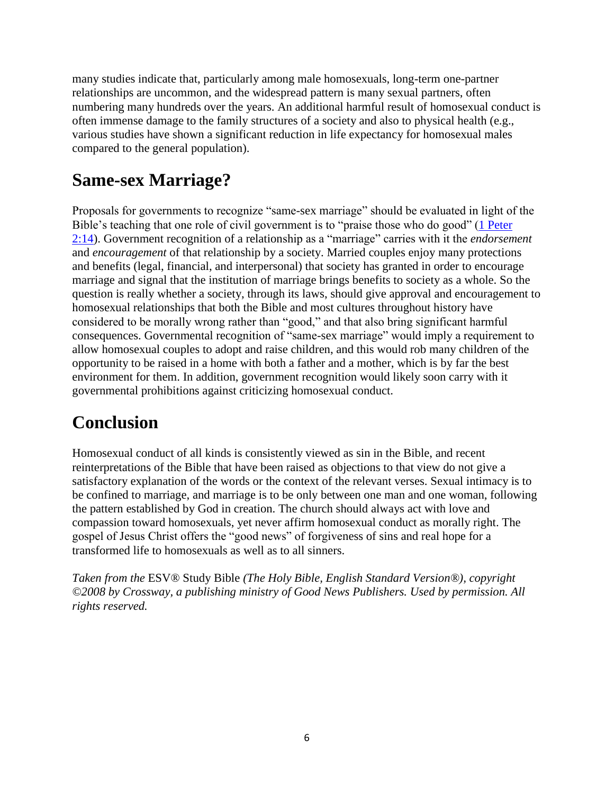many studies indicate that, particularly among male homosexuals, long-term one-partner relationships are uncommon, and the widespread pattern is many sexual partners, often numbering many hundreds over the years. An additional harmful result of homosexual conduct is often immense damage to the family structures of a society and also to physical health (e.g., various studies have shown a significant reduction in life expectancy for homosexual males compared to the general population).

# **Same-sex Marriage?**

Proposals for governments to recognize "same-sex marriage" should be evaluated in light of the Bible's teaching that one role of civil government is to "praise those who do good" [\(1 Peter](http://www.esvbible.org/1+Peter+2%3A14/)  [2:14\)](http://www.esvbible.org/1+Peter+2%3A14/). Government recognition of a relationship as a "marriage" carries with it the *endorsement* and *encouragement* of that relationship by a society. Married couples enjoy many protections and benefits (legal, financial, and interpersonal) that society has granted in order to encourage marriage and signal that the institution of marriage brings benefits to society as a whole. So the question is really whether a society, through its laws, should give approval and encouragement to homosexual relationships that both the Bible and most cultures throughout history have considered to be morally wrong rather than "good," and that also bring significant harmful consequences. Governmental recognition of "same-sex marriage" would imply a requirement to allow homosexual couples to adopt and raise children, and this would rob many children of the opportunity to be raised in a home with both a father and a mother, which is by far the best environment for them. In addition, government recognition would likely soon carry with it governmental prohibitions against criticizing homosexual conduct.

## **Conclusion**

Homosexual conduct of all kinds is consistently viewed as sin in the Bible, and recent reinterpretations of the Bible that have been raised as objections to that view do not give a satisfactory explanation of the words or the context of the relevant verses. Sexual intimacy is to be confined to marriage, and marriage is to be only between one man and one woman, following the pattern established by God in creation. The church should always act with love and compassion toward homosexuals, yet never affirm homosexual conduct as morally right. The gospel of Jesus Christ offers the "good news" of forgiveness of sins and real hope for a transformed life to homosexuals as well as to all sinners.

*Taken from the* ESV® Study Bible *(The Holy Bible, English Standard Version®), copyright ©2008 by Crossway, a publishing ministry of Good News Publishers. Used by permission. All rights reserved.*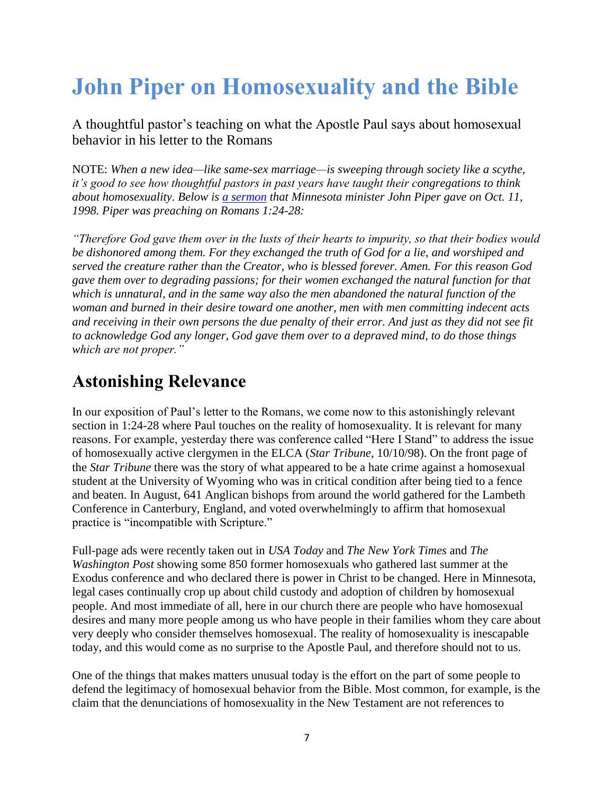# **John Piper on Homosexuality and the Bible**

A thoughtful pastor's teaching on what the Apostle Paul says about homosexual behavior in his letter to the Romans

NOTE: *When a new idea—like same-sex marriage—is sweeping through society like a scythe, it's good to see how thoughtful pastors in past years have taught their congregations to think about homosexuality. Below is [a sermon](http://www.desiringgod.org/resource-library/sermons/the-other-dark-exchange-homosexuality-part-1) that Minnesota minister John Piper gave on Oct. 11, 1998. Piper was preaching on Romans 1:24-28:*

*"Therefore God gave them over in the lusts of their hearts to impurity, so that their bodies would be dishonored among them. For they exchanged the truth of God for a lie, and worshiped and served the creature rather than the Creator, who is blessed forever. Amen. For this reason God gave them over to degrading passions; for their women exchanged the natural function for that which is unnatural, and in the same way also the men abandoned the natural function of the woman and burned in their desire toward one another, men with men committing indecent acts and receiving in their own persons the due penalty of their error. And just as they did not see fit to acknowledge God any longer, God gave them over to a depraved mind, to do those things which are not proper."*

#### **Astonishing Relevance**

In our exposition of Paul's letter to the Romans, we come now to this astonishingly relevant section in 1:24-28 where Paul touches on the reality of homosexuality. It is relevant for many reasons. For example, yesterday there was conference called "Here I Stand" to address the issue of homosexually active clergymen in the ELCA (*Star Tribune*, 10/10/98). On the front page of the *Star Tribune* there was the story of what appeared to be a hate crime against a homosexual student at the University of Wyoming who was in critical condition after being tied to a fence and beaten. In August, 641 Anglican bishops from around the world gathered for the Lambeth Conference in Canterbury, England, and voted overwhelmingly to affirm that homosexual practice is "incompatible with Scripture."

Full-page ads were recently taken out in *USA Today* and *The New York Times* and *The Washington Post* showing some 850 former homosexuals who gathered last summer at the Exodus conference and who declared there is power in Christ to be changed. Here in Minnesota, legal cases continually crop up about child custody and adoption of children by homosexual people. And most immediate of all, here in our church there are people who have homosexual desires and many more people among us who have people in their families whom they care about very deeply who consider themselves homosexual. The reality of homosexuality is inescapable today, and this would come as no surprise to the Apostle Paul, and therefore should not to us.

One of the things that makes matters unusual today is the effort on the part of some people to defend the legitimacy of homosexual behavior from the Bible. Most common, for example, is the claim that the denunciations of homosexuality in the New Testament are not references to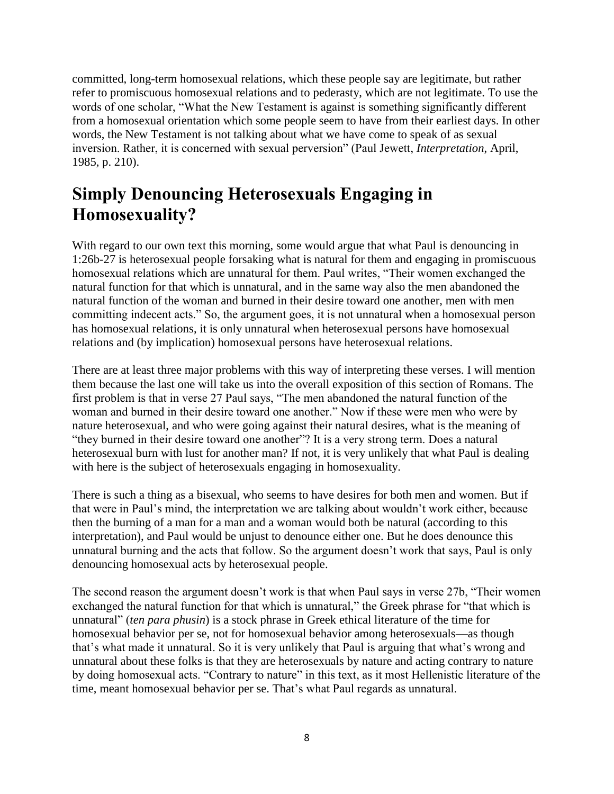committed, long-term homosexual relations, which these people say are legitimate, but rather refer to promiscuous homosexual relations and to pederasty, which are not legitimate. To use the words of one scholar, "What the New Testament is against is something significantly different from a homosexual orientation which some people seem to have from their earliest days. In other words, the New Testament is not talking about what we have come to speak of as sexual inversion. Rather, it is concerned with sexual perversion" (Paul Jewett, *Interpretation*, April, 1985, p. 210).

### **Simply Denouncing Heterosexuals Engaging in Homosexuality?**

With regard to our own text this morning, some would argue that what Paul is denouncing in 1:26b-27 is heterosexual people forsaking what is natural for them and engaging in promiscuous homosexual relations which are unnatural for them. Paul writes, "Their women exchanged the natural function for that which is unnatural, and in the same way also the men abandoned the natural function of the woman and burned in their desire toward one another, men with men committing indecent acts." So, the argument goes, it is not unnatural when a homosexual person has homosexual relations, it is only unnatural when heterosexual persons have homosexual relations and (by implication) homosexual persons have heterosexual relations.

There are at least three major problems with this way of interpreting these verses. I will mention them because the last one will take us into the overall exposition of this section of Romans. The first problem is that in verse 27 Paul says, "The men abandoned the natural function of the woman and burned in their desire toward one another." Now if these were men who were by nature heterosexual, and who were going against their natural desires, what is the meaning of "they burned in their desire toward one another"? It is a very strong term. Does a natural heterosexual burn with lust for another man? If not, it is very unlikely that what Paul is dealing with here is the subject of heterosexuals engaging in homosexuality.

There is such a thing as a bisexual, who seems to have desires for both men and women. But if that were in Paul's mind, the interpretation we are talking about wouldn't work either, because then the burning of a man for a man and a woman would both be natural (according to this interpretation), and Paul would be unjust to denounce either one. But he does denounce this unnatural burning and the acts that follow. So the argument doesn't work that says, Paul is only denouncing homosexual acts by heterosexual people.

The second reason the argument doesn't work is that when Paul says in verse 27b, "Their women exchanged the natural function for that which is unnatural," the Greek phrase for "that which is unnatural" (*ten para phusin*) is a stock phrase in Greek ethical literature of the time for homosexual behavior per se, not for homosexual behavior among heterosexuals—as though that's what made it unnatural. So it is very unlikely that Paul is arguing that what's wrong and unnatural about these folks is that they are heterosexuals by nature and acting contrary to nature by doing homosexual acts. "Contrary to nature" in this text, as it most Hellenistic literature of the time, meant homosexual behavior per se. That's what Paul regards as unnatural.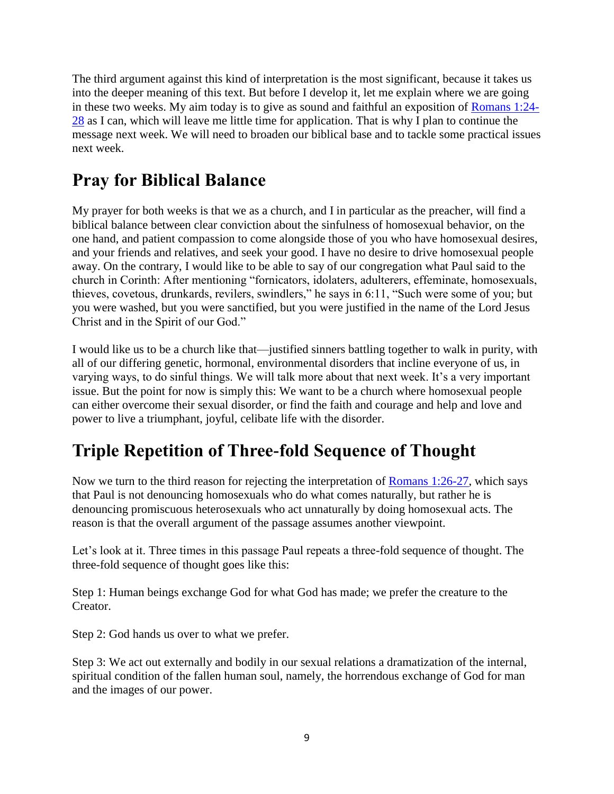The third argument against this kind of interpretation is the most significant, because it takes us into the deeper meaning of this text. But before I develop it, let me explain where we are going in these two weeks. My aim today is to give as sound and faithful an exposition of [Romans 1:24-](http://biblia.com/bible/esv/Romans%201.24-28) [28](http://biblia.com/bible/esv/Romans%201.24-28) as I can, which will leave me little time for application. That is why I plan to continue the message next week. We will need to broaden our biblical base and to tackle some practical issues next week.

# **Pray for Biblical Balance**

My prayer for both weeks is that we as a church, and I in particular as the preacher, will find a biblical balance between clear conviction about the sinfulness of homosexual behavior, on the one hand, and patient compassion to come alongside those of you who have homosexual desires, and your friends and relatives, and seek your good. I have no desire to drive homosexual people away. On the contrary, I would like to be able to say of our congregation what Paul said to the church in Corinth: After mentioning "fornicators, idolaters, adulterers, effeminate, homosexuals, thieves, covetous, drunkards, revilers, swindlers," he says in 6:11, "Such were some of you; but you were washed, but you were sanctified, but you were justified in the name of the Lord Jesus Christ and in the Spirit of our God."

I would like us to be a church like that—justified sinners battling together to walk in purity, with all of our differing genetic, hormonal, environmental disorders that incline everyone of us, in varying ways, to do sinful things. We will talk more about that next week. It's a very important issue. But the point for now is simply this: We want to be a church where homosexual people can either overcome their sexual disorder, or find the faith and courage and help and love and power to live a triumphant, joyful, celibate life with the disorder.

# **Triple Repetition of Three-fold Sequence of Thought**

Now we turn to the third reason for rejecting the interpretation of [Romans 1:26-27,](http://biblia.com/bible/esv/Romans%201.26-27) which says that Paul is not denouncing homosexuals who do what comes naturally, but rather he is denouncing promiscuous heterosexuals who act unnaturally by doing homosexual acts. The reason is that the overall argument of the passage assumes another viewpoint.

Let's look at it. Three times in this passage Paul repeats a three-fold sequence of thought. The three-fold sequence of thought goes like this:

Step 1: Human beings exchange God for what God has made; we prefer the creature to the Creator.

Step 2: God hands us over to what we prefer.

Step 3: We act out externally and bodily in our sexual relations a dramatization of the internal, spiritual condition of the fallen human soul, namely, the horrendous exchange of God for man and the images of our power.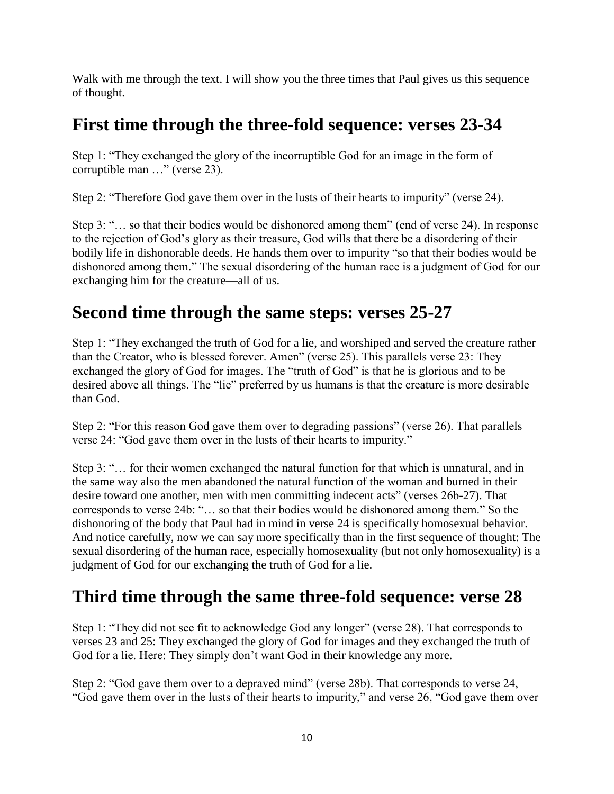Walk with me through the text. I will show you the three times that Paul gives us this sequence of thought.

#### **First time through the three-fold sequence: verses 23-34**

Step 1: "They exchanged the glory of the incorruptible God for an image in the form of corruptible man …" (verse 23).

Step 2: "Therefore God gave them over in the lusts of their hearts to impurity" (verse 24).

Step 3: "… so that their bodies would be dishonored among them" (end of verse 24). In response to the rejection of God's glory as their treasure, God wills that there be a disordering of their bodily life in dishonorable deeds. He hands them over to impurity "so that their bodies would be dishonored among them." The sexual disordering of the human race is a judgment of God for our exchanging him for the creature—all of us.

#### **Second time through the same steps: verses 25-27**

Step 1: "They exchanged the truth of God for a lie, and worshiped and served the creature rather than the Creator, who is blessed forever. Amen" (verse 25). This parallels verse 23: They exchanged the glory of God for images. The "truth of God" is that he is glorious and to be desired above all things. The "lie" preferred by us humans is that the creature is more desirable than God.

Step 2: "For this reason God gave them over to degrading passions" (verse 26). That parallels verse 24: "God gave them over in the lusts of their hearts to impurity."

Step 3: "… for their women exchanged the natural function for that which is unnatural, and in the same way also the men abandoned the natural function of the woman and burned in their desire toward one another, men with men committing indecent acts" (verses 26b-27). That corresponds to verse 24b: "… so that their bodies would be dishonored among them." So the dishonoring of the body that Paul had in mind in verse 24 is specifically homosexual behavior. And notice carefully, now we can say more specifically than in the first sequence of thought: The sexual disordering of the human race, especially homosexuality (but not only homosexuality) is a judgment of God for our exchanging the truth of God for a lie.

## **Third time through the same three-fold sequence: verse 28**

Step 1: "They did not see fit to acknowledge God any longer" (verse 28). That corresponds to verses 23 and 25: They exchanged the glory of God for images and they exchanged the truth of God for a lie. Here: They simply don't want God in their knowledge any more.

Step 2: "God gave them over to a depraved mind" (verse 28b). That corresponds to verse 24, "God gave them over in the lusts of their hearts to impurity," and verse 26, "God gave them over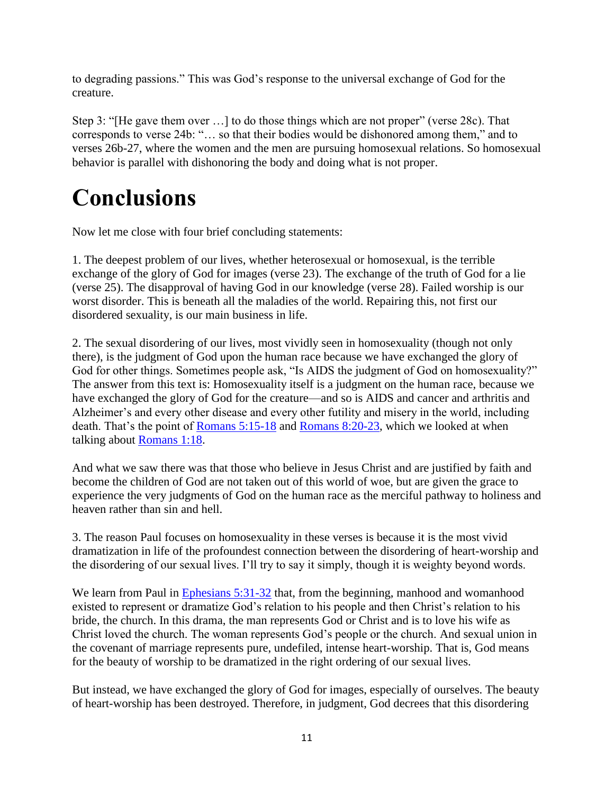to degrading passions." This was God's response to the universal exchange of God for the creature.

Step 3: "[He gave them over …] to do those things which are not proper" (verse 28c). That corresponds to verse 24b: "… so that their bodies would be dishonored among them," and to verses 26b-27, where the women and the men are pursuing homosexual relations. So homosexual behavior is parallel with dishonoring the body and doing what is not proper.

# **Conclusions**

Now let me close with four brief concluding statements:

1. The deepest problem of our lives, whether heterosexual or homosexual, is the terrible exchange of the glory of God for images (verse 23). The exchange of the truth of God for a lie (verse 25). The disapproval of having God in our knowledge (verse 28). Failed worship is our worst disorder. This is beneath all the maladies of the world. Repairing this, not first our disordered sexuality, is our main business in life.

2. The sexual disordering of our lives, most vividly seen in homosexuality (though not only there), is the judgment of God upon the human race because we have exchanged the glory of God for other things. Sometimes people ask, "Is AIDS the judgment of God on homosexuality?" The answer from this text is: Homosexuality itself is a judgment on the human race, because we have exchanged the glory of God for the creature—and so is AIDS and cancer and arthritis and Alzheimer's and every other disease and every other futility and misery in the world, including death. That's the point of [Romans 5:15-18](http://biblia.com/bible/esv/Romans%205.15-18) and [Romans 8:20-23,](http://biblia.com/bible/esv/Romans%208.20-23) which we looked at when talking about [Romans 1:18.](http://biblia.com/bible/esv/Romans%201.18)

And what we saw there was that those who believe in Jesus Christ and are justified by faith and become the children of God are not taken out of this world of woe, but are given the grace to experience the very judgments of God on the human race as the merciful pathway to holiness and heaven rather than sin and hell.

3. The reason Paul focuses on homosexuality in these verses is because it is the most vivid dramatization in life of the profoundest connection between the disordering of heart-worship and the disordering of our sexual lives. I'll try to say it simply, though it is weighty beyond words.

We learn from Paul in [Ephesians 5:31-32](http://biblia.com/bible/esv/Ephesians%205.31-32) that, from the beginning, manhood and womanhood existed to represent or dramatize God's relation to his people and then Christ's relation to his bride, the church. In this drama, the man represents God or Christ and is to love his wife as Christ loved the church. The woman represents God's people or the church. And sexual union in the covenant of marriage represents pure, undefiled, intense heart-worship. That is, God means for the beauty of worship to be dramatized in the right ordering of our sexual lives.

But instead, we have exchanged the glory of God for images, especially of ourselves. The beauty of heart-worship has been destroyed. Therefore, in judgment, God decrees that this disordering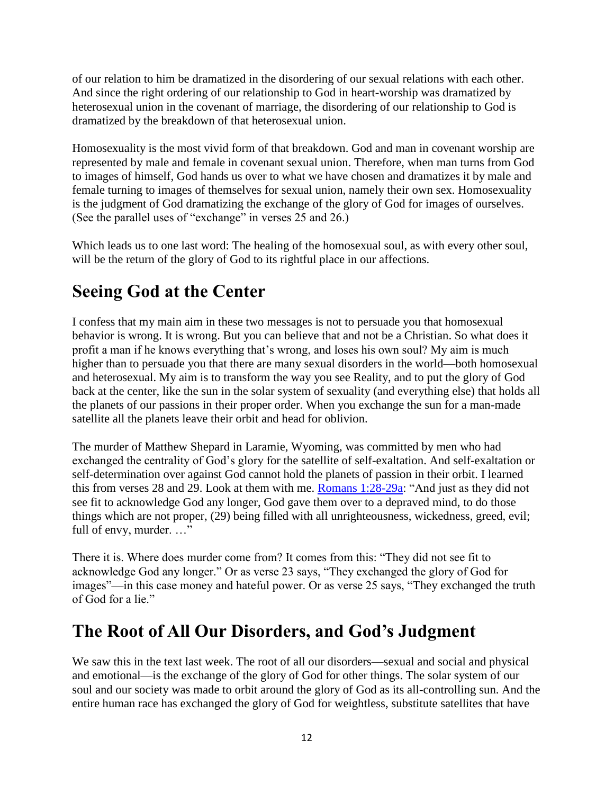of our relation to him be dramatized in the disordering of our sexual relations with each other. And since the right ordering of our relationship to God in heart-worship was dramatized by heterosexual union in the covenant of marriage, the disordering of our relationship to God is dramatized by the breakdown of that heterosexual union.

Homosexuality is the most vivid form of that breakdown. God and man in covenant worship are represented by male and female in covenant sexual union. Therefore, when man turns from God to images of himself, God hands us over to what we have chosen and dramatizes it by male and female turning to images of themselves for sexual union, namely their own sex. Homosexuality is the judgment of God dramatizing the exchange of the glory of God for images of ourselves. (See the parallel uses of "exchange" in verses 25 and 26.)

Which leads us to one last word: The healing of the homosexual soul, as with every other soul, will be the return of the glory of God to its rightful place in our affections.

### **Seeing God at the Center**

I confess that my main aim in these two messages is not to persuade you that homosexual behavior is wrong. It is wrong. But you can believe that and not be a Christian. So what does it profit a man if he knows everything that's wrong, and loses his own soul? My aim is much higher than to persuade you that there are many sexual disorders in the world—both homosexual and heterosexual. My aim is to transform the way you see Reality, and to put the glory of God back at the center, like the sun in the solar system of sexuality (and everything else) that holds all the planets of our passions in their proper order. When you exchange the sun for a man-made satellite all the planets leave their orbit and head for oblivion.

The murder of Matthew Shepard in Laramie, Wyoming, was committed by men who had exchanged the centrality of God's glory for the satellite of self-exaltation. And self-exaltation or self-determination over against God cannot hold the planets of passion in their orbit. I learned this from verses 28 and 29. Look at them with me. [Romans 1:28-29a:](http://biblia.com/bible/esv/Romans%201.28-29a) "And just as they did not see fit to acknowledge God any longer, God gave them over to a depraved mind, to do those things which are not proper, (29) being filled with all unrighteousness, wickedness, greed, evil; full of envy, murder. …"

There it is. Where does murder come from? It comes from this: "They did not see fit to acknowledge God any longer." Or as verse 23 says, "They exchanged the glory of God for images"—in this case money and hateful power. Or as verse 25 says, "They exchanged the truth of God for a lie."

#### **The Root of All Our Disorders, and God's Judgment**

We saw this in the text last week. The root of all our disorders—sexual and social and physical and emotional—is the exchange of the glory of God for other things. The solar system of our soul and our society was made to orbit around the glory of God as its all-controlling sun. And the entire human race has exchanged the glory of God for weightless, substitute satellites that have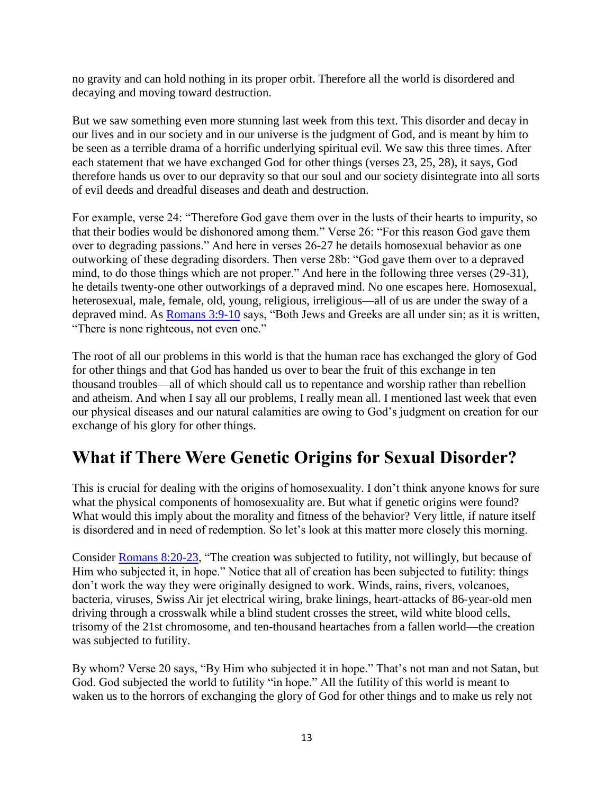no gravity and can hold nothing in its proper orbit. Therefore all the world is disordered and decaying and moving toward destruction.

But we saw something even more stunning last week from this text. This disorder and decay in our lives and in our society and in our universe is the judgment of God, and is meant by him to be seen as a terrible drama of a horrific underlying spiritual evil. We saw this three times. After each statement that we have exchanged God for other things (verses 23, 25, 28), it says, God therefore hands us over to our depravity so that our soul and our society disintegrate into all sorts of evil deeds and dreadful diseases and death and destruction.

For example, verse 24: "Therefore God gave them over in the lusts of their hearts to impurity, so that their bodies would be dishonored among them." Verse 26: "For this reason God gave them over to degrading passions." And here in verses 26-27 he details homosexual behavior as one outworking of these degrading disorders. Then verse 28b: "God gave them over to a depraved mind, to do those things which are not proper." And here in the following three verses (29-31), he details twenty-one other outworkings of a depraved mind. No one escapes here. Homosexual, heterosexual, male, female, old, young, religious, irreligious—all of us are under the sway of a depraved mind. As [Romans 3:9-10](http://biblia.com/bible/esv/Romans%203.9-10) says, "Both Jews and Greeks are all under sin; as it is written, "There is none righteous, not even one."

The root of all our problems in this world is that the human race has exchanged the glory of God for other things and that God has handed us over to bear the fruit of this exchange in ten thousand troubles—all of which should call us to repentance and worship rather than rebellion and atheism. And when I say all our problems, I really mean all. I mentioned last week that even our physical diseases and our natural calamities are owing to God's judgment on creation for our exchange of his glory for other things.

#### **What if There Were Genetic Origins for Sexual Disorder?**

This is crucial for dealing with the origins of homosexuality. I don't think anyone knows for sure what the physical components of homosexuality are. But what if genetic origins were found? What would this imply about the morality and fitness of the behavior? Very little, if nature itself is disordered and in need of redemption. So let's look at this matter more closely this morning.

Consider [Romans 8:20-23,](http://biblia.com/bible/esv/Romans%208.20-23) "The creation was subjected to futility, not willingly, but because of Him who subjected it, in hope." Notice that all of creation has been subjected to futility: things don't work the way they were originally designed to work. Winds, rains, rivers, volcanoes, bacteria, viruses, Swiss Air jet electrical wiring, brake linings, heart-attacks of 86-year-old men driving through a crosswalk while a blind student crosses the street, wild white blood cells, trisomy of the 21st chromosome, and ten-thousand heartaches from a fallen world—the creation was subjected to futility.

By whom? Verse 20 says, "By Him who subjected it in hope." That's not man and not Satan, but God. God subjected the world to futility "in hope." All the futility of this world is meant to waken us to the horrors of exchanging the glory of God for other things and to make us rely not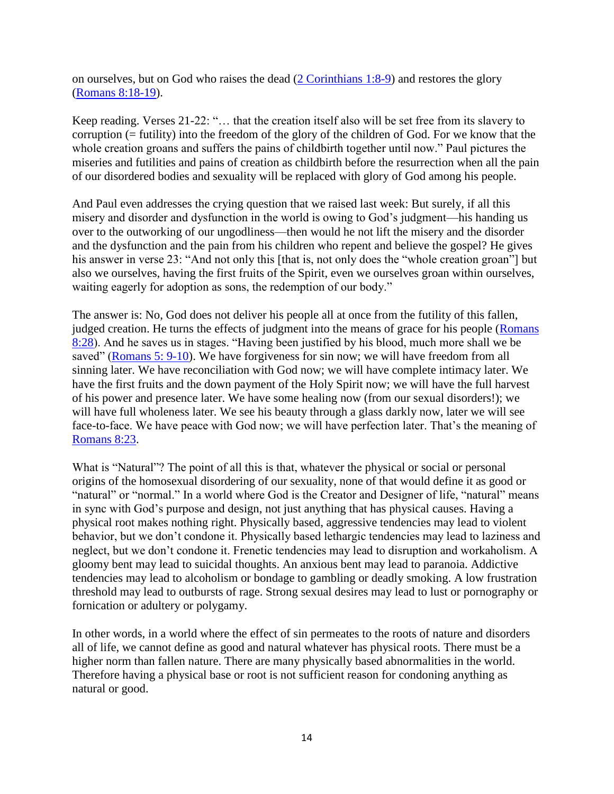on ourselves, but on God who raises the dead [\(2 Corinthians 1:8-9\)](http://biblia.com/bible/esv/2%20Corinthians%201.8-9) and restores the glory [\(Romans 8:18-19\)](http://biblia.com/bible/esv/Romans%208.18-19).

Keep reading. Verses 21-22: "… that the creation itself also will be set free from its slavery to corruption (= futility) into the freedom of the glory of the children of God. For we know that the whole creation groans and suffers the pains of childbirth together until now." Paul pictures the miseries and futilities and pains of creation as childbirth before the resurrection when all the pain of our disordered bodies and sexuality will be replaced with glory of God among his people.

And Paul even addresses the crying question that we raised last week: But surely, if all this misery and disorder and dysfunction in the world is owing to God's judgment—his handing us over to the outworking of our ungodliness—then would he not lift the misery and the disorder and the dysfunction and the pain from his children who repent and believe the gospel? He gives his answer in verse 23: "And not only this [that is, not only does the "whole creation groan"] but also we ourselves, having the first fruits of the Spirit, even we ourselves groan within ourselves, waiting eagerly for adoption as sons, the redemption of our body."

The answer is: No, God does not deliver his people all at once from the futility of this fallen, judged creation. He turns the effects of judgment into the means of grace for his people [\(Romans](http://biblia.com/bible/esv/Romans%208.28)  [8:28\)](http://biblia.com/bible/esv/Romans%208.28). And he saves us in stages. "Having been justified by his blood, much more shall we be saved" [\(Romans 5: 9-10\)](http://biblia.com/bible/esv/Romans%205.%209-10). We have forgiveness for sin now; we will have freedom from all sinning later. We have reconciliation with God now; we will have complete intimacy later. We have the first fruits and the down payment of the Holy Spirit now; we will have the full harvest of his power and presence later. We have some healing now (from our sexual disorders!); we will have full wholeness later. We see his beauty through a glass darkly now, later we will see face-to-face. We have peace with God now; we will have perfection later. That's the meaning of [Romans 8:23.](http://biblia.com/bible/esv/Romans%208.23)

What is "Natural"? The point of all this is that, whatever the physical or social or personal origins of the homosexual disordering of our sexuality, none of that would define it as good or "natural" or "normal." In a world where God is the Creator and Designer of life, "natural" means in sync with God's purpose and design, not just anything that has physical causes. Having a physical root makes nothing right. Physically based, aggressive tendencies may lead to violent behavior, but we don't condone it. Physically based lethargic tendencies may lead to laziness and neglect, but we don't condone it. Frenetic tendencies may lead to disruption and workaholism. A gloomy bent may lead to suicidal thoughts. An anxious bent may lead to paranoia. Addictive tendencies may lead to alcoholism or bondage to gambling or deadly smoking. A low frustration threshold may lead to outbursts of rage. Strong sexual desires may lead to lust or pornography or fornication or adultery or polygamy.

In other words, in a world where the effect of sin permeates to the roots of nature and disorders all of life, we cannot define as good and natural whatever has physical roots. There must be a higher norm than fallen nature. There are many physically based abnormalities in the world. Therefore having a physical base or root is not sufficient reason for condoning anything as natural or good.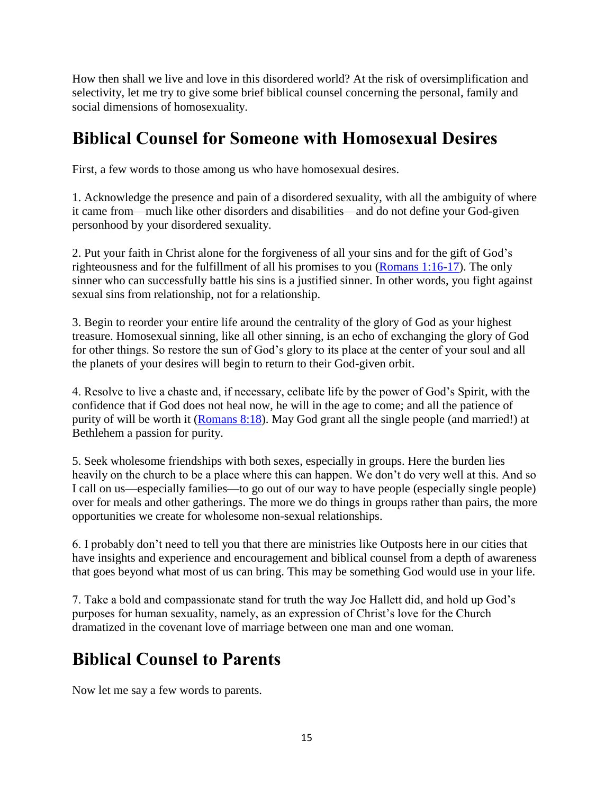How then shall we live and love in this disordered world? At the risk of oversimplification and selectivity, let me try to give some brief biblical counsel concerning the personal, family and social dimensions of homosexuality.

### **Biblical Counsel for Someone with Homosexual Desires**

First, a few words to those among us who have homosexual desires.

1. Acknowledge the presence and pain of a disordered sexuality, with all the ambiguity of where it came from—much like other disorders and disabilities—and do not define your God-given personhood by your disordered sexuality.

2. Put your faith in Christ alone for the forgiveness of all your sins and for the gift of God's righteousness and for the fulfillment of all his promises to you [\(Romans 1:16-17\)](http://biblia.com/bible/esv/Romans%201.16-17). The only sinner who can successfully battle his sins is a justified sinner. In other words, you fight against sexual sins from relationship, not for a relationship.

3. Begin to reorder your entire life around the centrality of the glory of God as your highest treasure. Homosexual sinning, like all other sinning, is an echo of exchanging the glory of God for other things. So restore the sun of God's glory to its place at the center of your soul and all the planets of your desires will begin to return to their God-given orbit.

4. Resolve to live a chaste and, if necessary, celibate life by the power of God's Spirit, with the confidence that if God does not heal now, he will in the age to come; and all the patience of purity of will be worth it [\(Romans 8:18\)](http://biblia.com/bible/esv/Romans%208.18). May God grant all the single people (and married!) at Bethlehem a passion for purity.

5. Seek wholesome friendships with both sexes, especially in groups. Here the burden lies heavily on the church to be a place where this can happen. We don't do very well at this. And so I call on us—especially families—to go out of our way to have people (especially single people) over for meals and other gatherings. The more we do things in groups rather than pairs, the more opportunities we create for wholesome non-sexual relationships.

6. I probably don't need to tell you that there are ministries like Outposts here in our cities that have insights and experience and encouragement and biblical counsel from a depth of awareness that goes beyond what most of us can bring. This may be something God would use in your life.

7. Take a bold and compassionate stand for truth the way Joe Hallett did, and hold up God's purposes for human sexuality, namely, as an expression of Christ's love for the Church dramatized in the covenant love of marriage between one man and one woman.

# **Biblical Counsel to Parents**

Now let me say a few words to parents.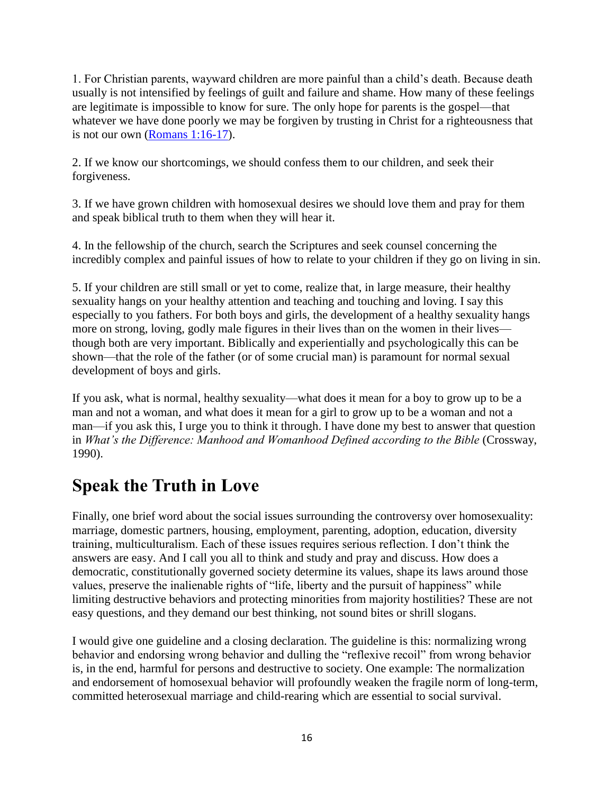1. For Christian parents, wayward children are more painful than a child's death. Because death usually is not intensified by feelings of guilt and failure and shame. How many of these feelings are legitimate is impossible to know for sure. The only hope for parents is the gospel—that whatever we have done poorly we may be forgiven by trusting in Christ for a righteousness that is not our own [\(Romans 1:16-17\)](http://biblia.com/bible/esv/Romans%201.16-17).

2. If we know our shortcomings, we should confess them to our children, and seek their forgiveness.

3. If we have grown children with homosexual desires we should love them and pray for them and speak biblical truth to them when they will hear it.

4. In the fellowship of the church, search the Scriptures and seek counsel concerning the incredibly complex and painful issues of how to relate to your children if they go on living in sin.

5. If your children are still small or yet to come, realize that, in large measure, their healthy sexuality hangs on your healthy attention and teaching and touching and loving. I say this especially to you fathers. For both boys and girls, the development of a healthy sexuality hangs more on strong, loving, godly male figures in their lives than on the women in their lives though both are very important. Biblically and experientially and psychologically this can be shown—that the role of the father (or of some crucial man) is paramount for normal sexual development of boys and girls.

If you ask, what is normal, healthy sexuality—what does it mean for a boy to grow up to be a man and not a woman, and what does it mean for a girl to grow up to be a woman and not a man—if you ask this, I urge you to think it through. I have done my best to answer that question in *What's the Difference: Manhood and Womanhood Defined according to the Bible* (Crossway, 1990).

#### **Speak the Truth in Love**

Finally, one brief word about the social issues surrounding the controversy over homosexuality: marriage, domestic partners, housing, employment, parenting, adoption, education, diversity training, multiculturalism. Each of these issues requires serious reflection. I don't think the answers are easy. And I call you all to think and study and pray and discuss. How does a democratic, constitutionally governed society determine its values, shape its laws around those values, preserve the inalienable rights of "life, liberty and the pursuit of happiness" while limiting destructive behaviors and protecting minorities from majority hostilities? These are not easy questions, and they demand our best thinking, not sound bites or shrill slogans.

I would give one guideline and a closing declaration. The guideline is this: normalizing wrong behavior and endorsing wrong behavior and dulling the "reflexive recoil" from wrong behavior is, in the end, harmful for persons and destructive to society. One example: The normalization and endorsement of homosexual behavior will profoundly weaken the fragile norm of long-term, committed heterosexual marriage and child-rearing which are essential to social survival.